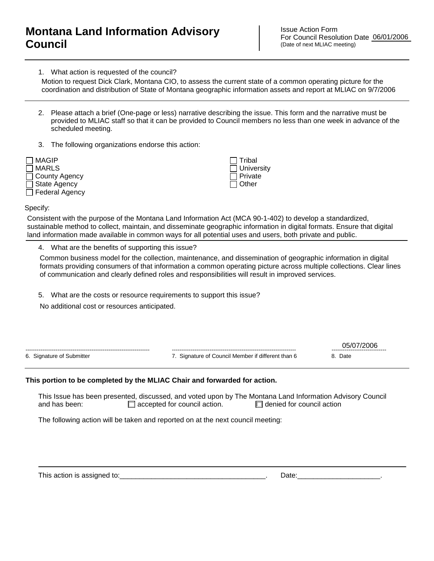## **Montana Land Information Advisory Council**

Issue Action Form For Council Resolution Date 06/01/2006 (Date of next MLIAC meeting)

1. What action is requested of the council?

Motion to request Dick Clark, Montana CIO, to assess the current state of a common operating picture for the coordination and distribution of State of Montana geographic information assets and report at MLIAC on 9/7/2006

- 2. Please attach a brief (One-page or less) narrative describing the issue. This form and the narrative must be provided to MLIAC staff so that it can be provided to Council members no less than one week in advance of the scheduled meeting.
- 3. The following organizations endorse this action:

| MAGIP                 |  |
|-----------------------|--|
| <b>NARLS</b>          |  |
| $\Box$ County Agency  |  |
| $\Box$ State Agency   |  |
| $\Box$ Federal Agency |  |

 Tribal **University**  Private Other

Specify:

Consistent with the purpose of the Montana Land Information Act (MCA 90-1-402) to develop a standardized, sustainable method to collect, maintain, and disseminate geographic information in digital formats. Ensure that digital land information made available in common ways for all potential uses and users, both private and public.

4. What are the benefits of supporting this issue?

Common business model for the collection, maintenance, and dissemination of geographic information in digital formats providing consumers of that information a common operating picture across multiple collections. Clear lines of communication and clearly defined roles and responsibilities will result in improved services.

5. What are the costs or resource requirements to support this issue?

No additional cost or resources anticipated.

|                           |                                                 | ------------------------------ |
|---------------------------|-------------------------------------------------|--------------------------------|
| 6. Signature of Submitter | Signature of Council Member if different than 6 | Date                           |
|                           |                                                 |                                |

## **This portion to be completed by the MLIAC Chair and forwarded for action.**

This Issue has been presented, discussed, and voted upon by The Montana Land Information Advisory Council and has been:  $\Box$  accepted for council action.  $\Box$  denied for council action

The following action will be taken and reported on at the next council meeting:

This action is assigned to:\_\_\_\_\_\_\_\_\_\_\_\_\_\_\_\_\_\_\_\_\_\_\_\_\_\_\_\_\_\_\_\_\_\_\_\_\_. Date:\_\_\_\_\_\_\_\_\_\_\_\_\_\_\_\_\_\_\_\_\_.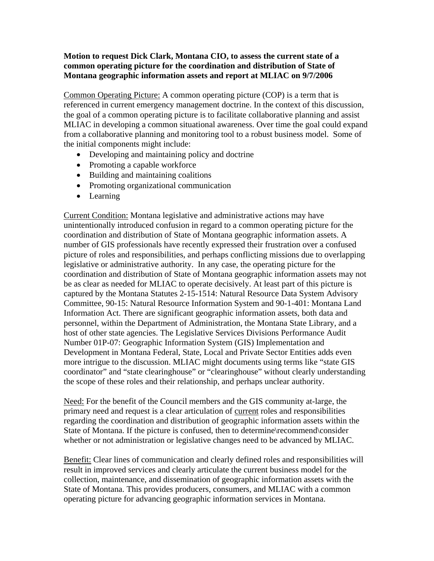## **Motion to request Dick Clark, Montana CIO, to assess the current state of a common operating picture for the coordination and distribution of State of Montana geographic information assets and report at MLIAC on 9/7/2006**

Common Operating Picture: A common operating picture (COP) is a term that is referenced in current emergency management doctrine. In the context of this discussion, the goal of a common operating picture is to facilitate collaborative planning and assist MLIAC in developing a common situational awareness. Over time the goal could expand from a collaborative planning and monitoring tool to a robust business model. Some of the initial components might include:

- Developing and maintaining policy and doctrine
- Promoting a capable workforce
- Building and maintaining coalitions
- Promoting organizational communication
- Learning

Current Condition: Montana legislative and administrative actions may have unintentionally introduced confusion in regard to a common operating picture for the coordination and distribution of State of Montana geographic information assets. A number of GIS professionals have recently expressed their frustration over a confused picture of roles and responsibilities, and perhaps conflicting missions due to overlapping legislative or administrative authority. In any case, the operating picture for the coordination and distribution of State of Montana geographic information assets may not be as clear as needed for MLIAC to operate decisively. At least part of this picture is captured by the Montana Statutes 2-15-1514: Natural Resource Data System Advisory Committee, 90-15: Natural Resource Information System and 90-1-401: Montana Land Information Act. There are significant geographic information assets, both data and personnel, within the Department of Administration, the Montana State Library, and a host of other state agencies. The Legislative Services Divisions Performance Audit Number 01P-07: Geographic Information System (GIS) Implementation and Development in Montana Federal, State, Local and Private Sector Entities adds even more intrigue to the discussion. MLIAC might documents using terms like "state GIS coordinator" and "state clearinghouse" or "clearinghouse" without clearly understanding the scope of these roles and their relationship, and perhaps unclear authority.

Need: For the benefit of the Council members and the GIS community at-large, the primary need and request is a clear articulation of current roles and responsibilities regarding the coordination and distribution of geographic information assets within the State of Montana. If the picture is confused, then to determine\recommend\consider whether or not administration or legislative changes need to be advanced by MLIAC.

Benefit: Clear lines of communication and clearly defined roles and responsibilities will result in improved services and clearly articulate the current business model for the collection, maintenance, and dissemination of geographic information assets with the State of Montana. This provides producers, consumers, and MLIAC with a common operating picture for advancing geographic information services in Montana.